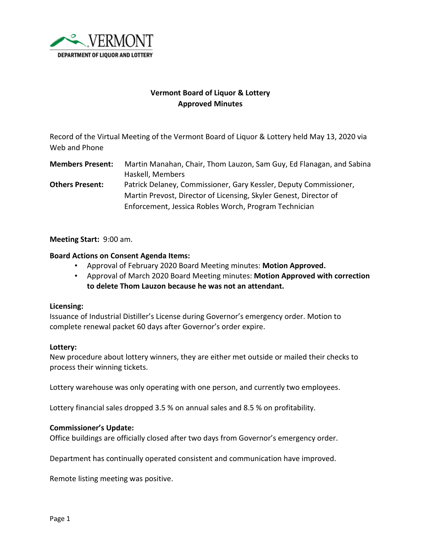

# **Vermont Board of Liquor & Lottery Approved Minutes**

Record of the Virtual Meeting of the Vermont Board of Liquor & Lottery held May 13, 2020 via Web and Phone

**Members Present:** Martin Manahan, Chair, Thom Lauzon, Sam Guy, Ed Flanagan, and Sabina Haskell, Members **Others Present:** Patrick Delaney, Commissioner, Gary Kessler, Deputy Commissioner,

Martin Prevost, Director of Licensing, Skyler Genest, Director of Enforcement, Jessica Robles Worch, Program Technician

**Meeting Start:** 9:00 am.

## **Board Actions on Consent Agenda Items:**

- Approval of February 2020 Board Meeting minutes: **Motion Approved.**
- Approval of March 2020 Board Meeting minutes: **Motion Approved with correction to delete Thom Lauzon because he was not an attendant.**

#### **Licensing:**

Issuance of Industrial Distiller's License during Governor's emergency order. Motion to complete renewal packet 60 days after Governor's order expire.

#### **Lottery:**

New procedure about lottery winners, they are either met outside or mailed their checks to process their winning tickets.

Lottery warehouse was only operating with one person, and currently two employees.

Lottery financial sales dropped 3.5 % on annual sales and 8.5 % on profitability.

### **Commissioner's Update:**

Office buildings are officially closed after two days from Governor's emergency order.

Department has continually operated consistent and communication have improved.

Remote listing meeting was positive.